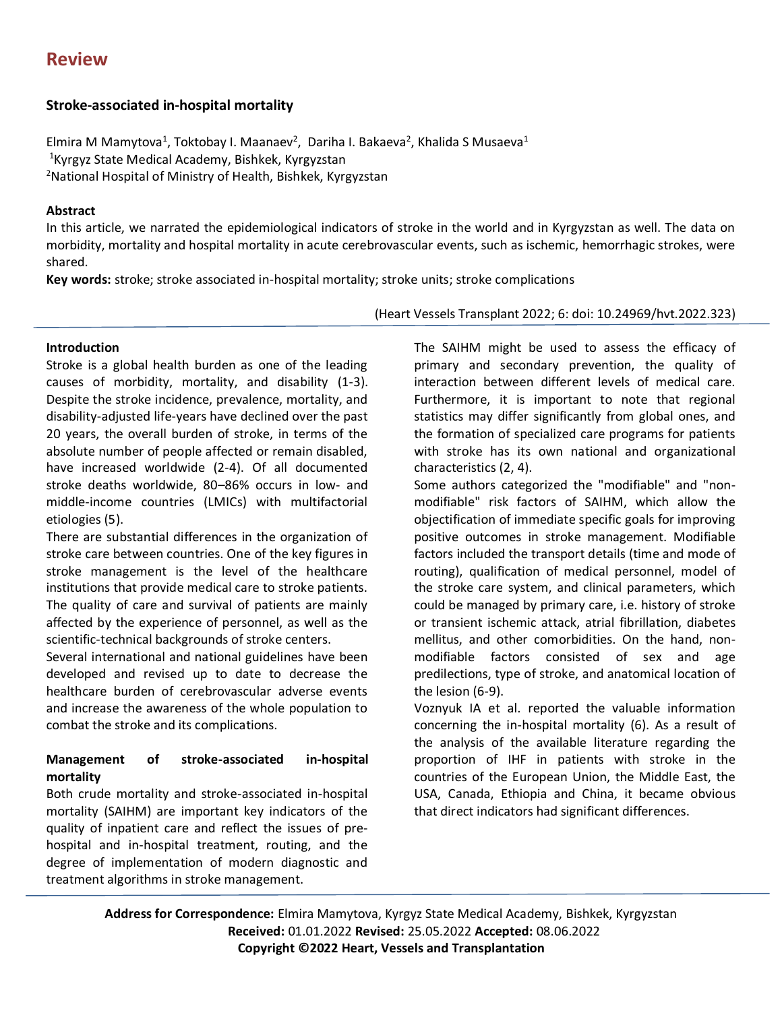# **Review**

## **Stroke-associated in-hospital mortality**

Elmira M Mamytova<sup>1</sup>, Toktobay I. Maanaev<sup>2</sup>, Dariha I. Bakaeva<sup>2</sup>, Khalida S Musaeva<sup>1</sup> <sup>1</sup>Kyrgyz State Medical Academy, Bishkek, Kyrgyzstan <sup>2</sup>National Hospital of Ministry of Health, Bishkek, Kyrgyzstan

#### **Abstract**

In this article, we narrated the epidemiological indicators of stroke in the world and in Kyrgyzstan as well. The data on morbidity, mortality and hospital mortality in acute cerebrovascular events, such as ischemic, hemorrhagic strokes, were shared.

**Key words:** stroke; stroke associated in-hospital mortality; stroke units; stroke complications

#### (Heart Vessels Transplant 2022; 6: doi: 10.24969/hvt.2022.323)

#### **Introduction**

Stroke is a global health burden as one of the leading causes of morbidity, mortality, and disability (1-3). Despite the stroke incidence, prevalence, mortality, and disability-adjusted life-years have declined over the past 20 years, the overall burden of stroke, in terms of the absolute number of people affected or remain disabled, have increased worldwide (2-4). Of all documented stroke deaths worldwide, 80–86% occurs in low- and middle-income countries (LMICs) with multifactorial etiologies (5).

There are substantial differences in the organization of stroke care between countries. One of the key figures in stroke management is the level of the healthcare institutions that provide medical care to stroke patients. The quality of care and survival of patients are mainly affected by the experience of personnel, as well as the scientific-technical backgrounds of stroke centers.

Several international and national guidelines have been developed and revised up to date to decrease the healthcare burden of cerebrovascular adverse events and increase the awareness of the whole population to combat the stroke and its complications.

## **Management of stroke-associated in-hospital mortality**

Both crude mortality and stroke-associated in-hospital mortality (SAIHM) are important key indicators of the quality of inpatient care and reflect the issues of prehospital and in-hospital treatment, routing, and the degree of implementation of modern diagnostic and treatment algorithms in stroke management.

The SAIHM might be used to assess the efficacy of primary and secondary prevention, the quality of interaction between different levels of medical care. Furthermore, it is important to note that regional statistics may differ significantly from global ones, and the formation of specialized care programs for patients with stroke has its own national and organizational characteristics (2, 4).

Some authors categorized the "modifiable" and "nonmodifiable" risk factors of SAIHM, which allow the objectification of immediate specific goals for improving positive outcomes in stroke management. Modifiable factors included the transport details (time and mode of routing), qualification of medical personnel, model of the stroke care system, and clinical parameters, which could be managed by primary care, i.e. history of stroke or transient ischemic attack, atrial fibrillation, diabetes mellitus, and other comorbidities. On the hand, nonmodifiable factors consisted of sex and age predilections, type of stroke, and anatomical location of the lesion (6-9).

Voznyuk IA et al. reported the valuable information concerning the in-hospital mortality (6). As a result of the analysis of the available literature regarding the proportion of IHF in patients with stroke in the countries of the European Union, the Middle East, the USA, Canada, Ethiopia and China, it became obvious that direct indicators had significant differences.

**Address for Correspondence:** Elmira Mamytova, Kyrgyz State Medical Academy, Bishkek, Kyrgyzstan **Received:** 01.01.2022 **Revised:** 25.05.2022 **Accepted:** 08.06.2022 **Copyright ©2022 Heart, Vessels and Transplantation**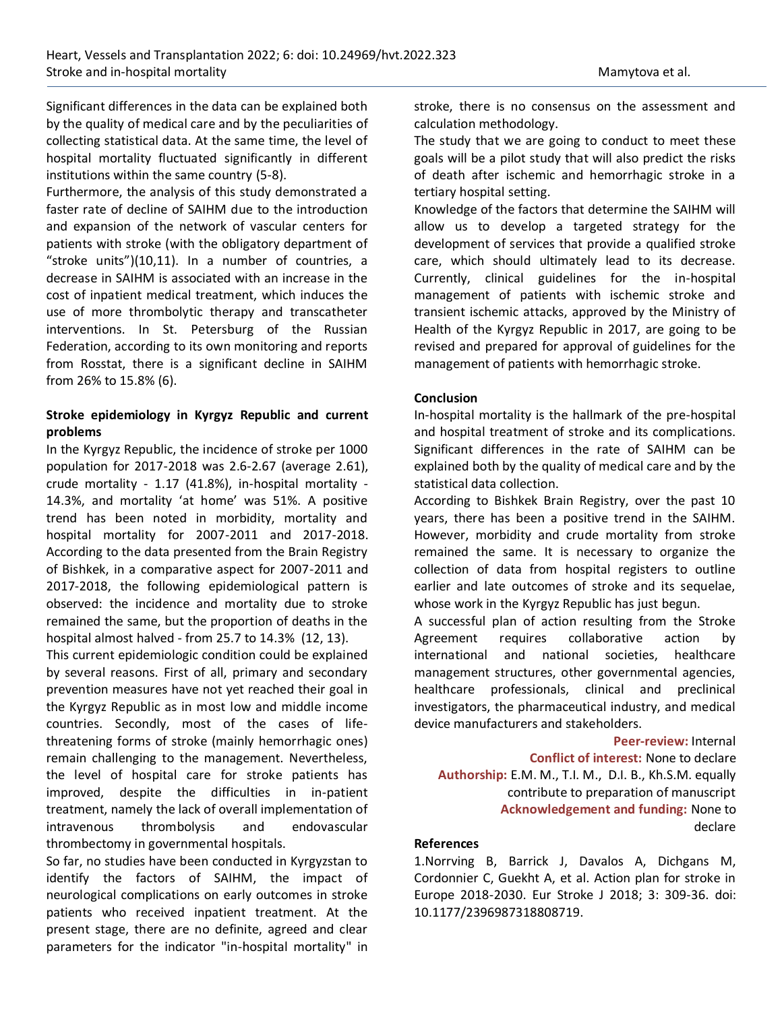Significant differences in the data can be explained both by the quality of medical care and by the peculiarities of collecting statistical data. At the same time, the level of hospital mortality fluctuated significantly in different institutions within the same country (5-8).

Furthermore, the analysis of this study demonstrated a faster rate of decline of SAIHM due to the introduction and expansion of the network of vascular centers for patients with stroke (with the obligatory department of "stroke units")(10,11). In a number of countries, a decrease in SAIHM is associated with an increase in the cost of inpatient medical treatment, which induces the use of more thrombolytic therapy and transcatheter interventions. In St. Petersburg of the Russian Federation, according to its own monitoring and reports from Rosstat, there is a significant decline in SAIHM from 26% to 15.8% (6).

### **Stroke epidemiology in Kyrgyz Republic and current problems**

In the Kyrgyz Republic, the incidence of stroke per 1000 population for 2017-2018 was 2.6-2.67 (average 2.61), crude mortality - 1.17 (41.8%), in-hospital mortality - 14.3%, and mortality 'at home' was 51%. A positive trend has been noted in morbidity, mortality and hospital mortality for 2007-2011 and 2017-2018. According to the data presented from the Brain Registry of Bishkek, in a comparative aspect for 2007-2011 and 2017-2018, the following epidemiological pattern is observed: the incidence and mortality due to stroke remained the same, but the proportion of deaths in the hospital almost halved - from 25.7 to 14.3% (12, 13).

This current epidemiologic condition could be explained by several reasons. First of all, primary and secondary prevention measures have not yet reached their goal in the Kyrgyz Republic as in most low and middle income countries. Secondly, most of the cases of lifethreatening forms of stroke (mainly hemorrhagic ones) remain challenging to the management. Nevertheless, the level of hospital care for stroke patients has improved, despite the difficulties in in-patient treatment, namely the lack of overall implementation of intravenous thrombolysis and endovascular thrombectomy in governmental hospitals.

So far, no studies have been conducted in Kyrgyzstan to identify the factors of SAIHM, the impact of neurological complications on early outcomes in stroke patients who received inpatient treatment. At the present stage, there are no definite, agreed and clear parameters for the indicator "in-hospital mortality" in

stroke, there is no consensus on the assessment and calculation methodology.

The study that we are going to conduct to meet these goals will be a pilot study that will also predict the risks of death after ischemic and hemorrhagic stroke in a tertiary hospital setting.

Knowledge of the factors that determine the SAIHM will allow us to develop a targeted strategy for the development of services that provide a qualified stroke care, which should ultimately lead to its decrease. Currently, clinical guidelines for the in-hospital management of patients with ischemic stroke and transient ischemic attacks, approved by the Ministry of Health of the Kyrgyz Republic in 2017, are going to be revised and prepared for approval of guidelines for the management of patients with hemorrhagic stroke.

#### **Conclusion**

In-hospital mortality is the hallmark of the pre-hospital and hospital treatment of stroke and its complications. Significant differences in the rate of SAIHM can be explained both by the quality of medical care and by the statistical data collection.

According to Bishkek Brain Registry, over the past 10 years, there has been a positive trend in the SAIHM. However, morbidity and crude mortality from stroke remained the same. It is necessary to organize the collection of data from hospital registers to outline earlier and late outcomes of stroke and its sequelae, whose work in the Kyrgyz Republic has just begun.

A successful plan of action resulting from the Stroke Agreement requires collaborative action by international and national societies, healthcare management structures, other governmental agencies, healthcare professionals, clinical and preclinical investigators, the pharmaceutical industry, and medical device manufacturers and stakeholders.

**Peer-review:** Internal **Conflict of interest:** None to declare **Authorship:** E.M. M., T.I. M., D.I. B., Kh.S.M. equally contribute to preparation of manuscript  **Acknowledgement and funding:** None to declare

#### **References**

1.Norrving B, Barrick J, Davalos A, Dichgans M, Cordonnier C, Guekht A, et al. Action plan for stroke in Europe 2018-2030. Eur Stroke J 2018; 3: 309-36. doi: 10.1177/2396987318808719.